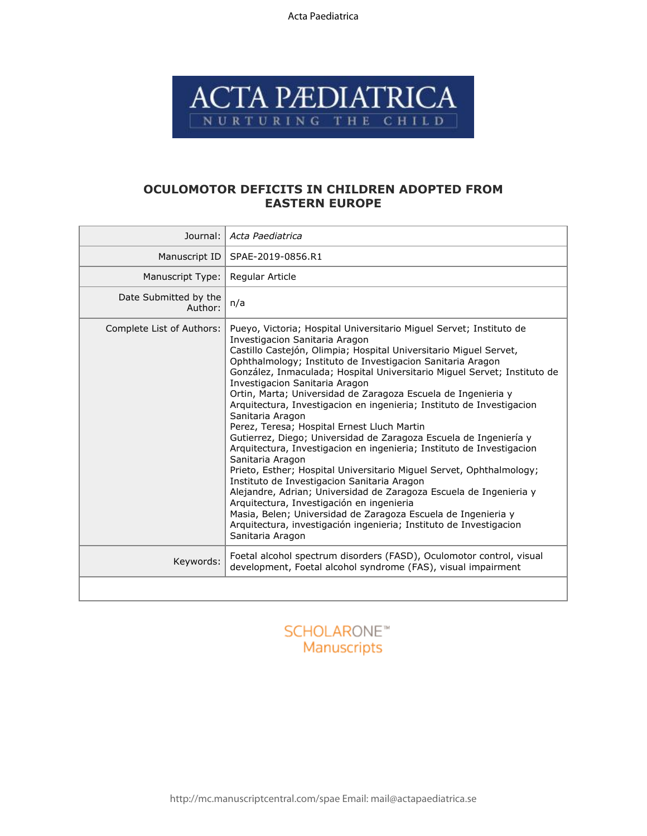Acta Paediatrica



# **OCULOMOTOR DEFICITS IN CHILDREN ADOPTED FROM EASTERN EUROPE**

| Journal:                         | Acta Paediatrica                                                                                                                                                                                                                                                                                                                                                                                                                                                                                                                                                                                                                                                                                                                                                                                                                                                                                                                                                                                                                                                                                                                           |
|----------------------------------|--------------------------------------------------------------------------------------------------------------------------------------------------------------------------------------------------------------------------------------------------------------------------------------------------------------------------------------------------------------------------------------------------------------------------------------------------------------------------------------------------------------------------------------------------------------------------------------------------------------------------------------------------------------------------------------------------------------------------------------------------------------------------------------------------------------------------------------------------------------------------------------------------------------------------------------------------------------------------------------------------------------------------------------------------------------------------------------------------------------------------------------------|
| Manuscript ID                    | SPAE-2019-0856.R1                                                                                                                                                                                                                                                                                                                                                                                                                                                                                                                                                                                                                                                                                                                                                                                                                                                                                                                                                                                                                                                                                                                          |
| Manuscript Type:                 | Regular Article                                                                                                                                                                                                                                                                                                                                                                                                                                                                                                                                                                                                                                                                                                                                                                                                                                                                                                                                                                                                                                                                                                                            |
| Date Submitted by the<br>Author: | n/a                                                                                                                                                                                                                                                                                                                                                                                                                                                                                                                                                                                                                                                                                                                                                                                                                                                                                                                                                                                                                                                                                                                                        |
| Complete List of Authors:        | Pueyo, Victoria; Hospital Universitario Miguel Servet; Instituto de<br>Investigacion Sanitaria Aragon<br>Castillo Castejón, Olimpia; Hospital Universitario Miguel Servet,<br>Ophthalmology; Instituto de Investigacion Sanitaria Aragon<br>González, Inmaculada; Hospital Universitario Miguel Servet; Instituto de<br>Investigacion Sanitaria Aragon<br>Ortin, Marta; Universidad de Zaragoza Escuela de Ingenieria y<br>Arquitectura, Investigacion en ingenieria; Instituto de Investigacion<br>Sanitaria Aragon<br>Perez, Teresa; Hospital Ernest Lluch Martin<br>Gutierrez, Diego; Universidad de Zaragoza Escuela de Ingeniería y<br>Arquitectura, Investigacion en ingenieria; Instituto de Investigacion<br>Sanitaria Aragon<br>Prieto, Esther; Hospital Universitario Miquel Servet, Ophthalmology;<br>Instituto de Investigacion Sanitaria Aragon<br>Alejandre, Adrian; Universidad de Zaragoza Escuela de Ingenieria y<br>Arquitectura, Investigación en ingenieria<br>Masia, Belen; Universidad de Zaragoza Escuela de Ingenieria y<br>Arquitectura, investigación ingenieria; Instituto de Investigacion<br>Sanitaria Aragon |
| Keywords:                        | Foetal alcohol spectrum disorders (FASD), Oculomotor control, visual<br>development, Foetal alcohol syndrome (FAS), visual impairment                                                                                                                                                                                                                                                                                                                                                                                                                                                                                                                                                                                                                                                                                                                                                                                                                                                                                                                                                                                                      |
|                                  |                                                                                                                                                                                                                                                                                                                                                                                                                                                                                                                                                                                                                                                                                                                                                                                                                                                                                                                                                                                                                                                                                                                                            |

# **SCHOLARONE™** Manuscripts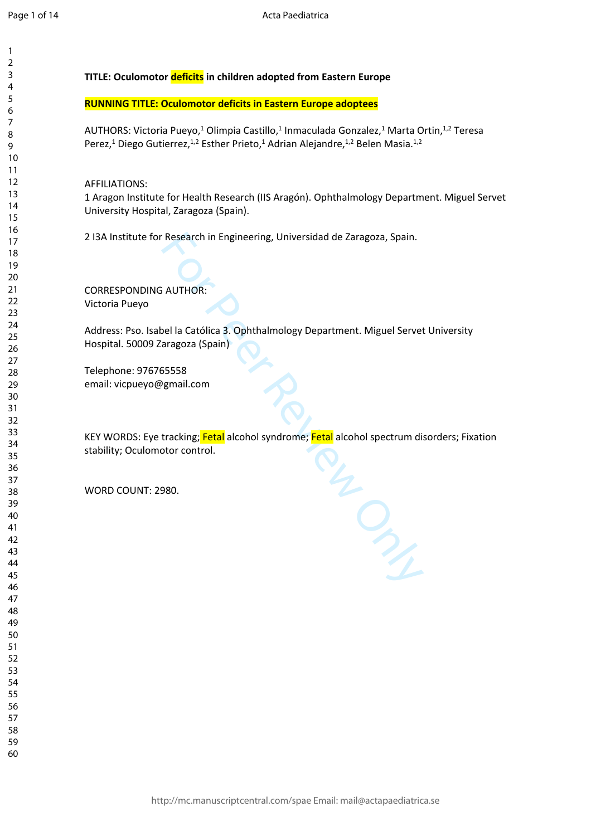$\mathbf{1}$  $\overline{2}$  $\overline{4}$  $\overline{7}$ 

# **TITLE: Oculomotor deficits in children adopted from Eastern Europe**

# **RUNNING TITLE: Oculomotor deficits in Eastern Europe adoptees**

AUTHORS: Victoria Pueyo,<sup>1</sup> Olimpia Castillo,<sup>1</sup> Inmaculada Gonzalez,<sup>1</sup> Marta Ortin,<sup>1,2</sup> Teresa Perez,<sup>1</sup> Diego Gutierrez,<sup>1,2</sup> Esther Prieto,<sup>1</sup> Adrian Alejandre,<sup>1,2</sup> Belen Masia.<sup>1,2</sup>

AFFILIATIONS:

1 Aragon Institute for Health Research (IIS Aragón). Ophthalmology Department. Miguel Servet University Hospital, Zaragoza (Spain).

2 I3A Institute for Research in Engineering, Universidad de Zaragoza, Spain.

CORRESPONDING AUTHOR: Victoria Pueyo

abel la Católica 3. Ophthalmology Department. Miguel Servet U<br>Zaragoza (Spain)<br>765558<br>@gmail.com<br>e tracking; Fetal alcohol syndrome; Fetal alcohol spectrum disor<br>motor control.<br>2980. Address: Pso. Isabel la Católica 3. Ophthalmology Department. Miguel Servet University Hospital. 50009 Zaragoza (Spain)

Telephone: 976765558 email: vicpueyo@gmail.com

KEY WORDS: Eye tracking; Fetal alcohol syndrome; Fetal alcohol spectrum disorders; Fixation stability; Oculomotor control.

WORD COUNT: 2980.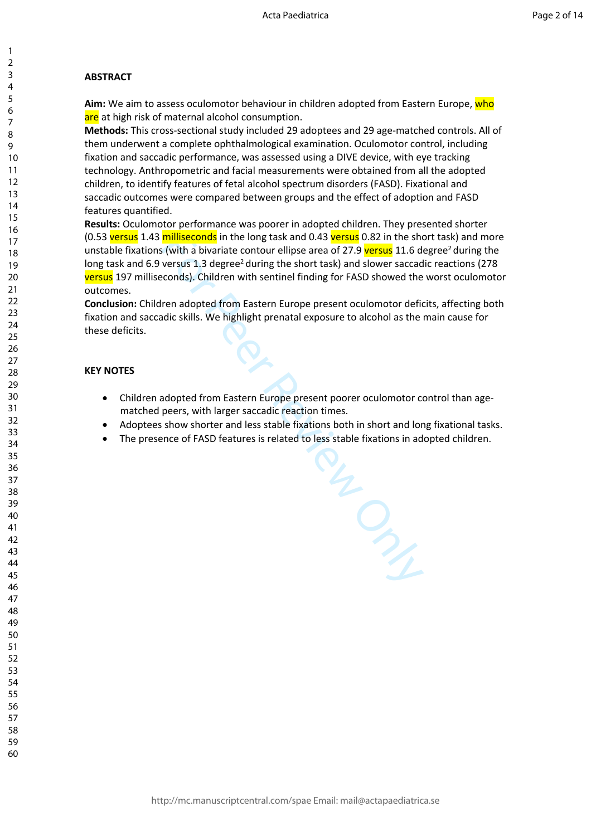# **ABSTRACT**

**Aim:** We aim to assess oculomotor behaviour in children adopted from Eastern Europe, who are at high risk of maternal alcohol consumption.

**Methods:** This cross-sectional study included 29 adoptees and 29 age-matched controls. All of them underwent a complete ophthalmological examination. Oculomotor control, including fixation and saccadic performance, was assessed using a DIVE device, with eye tracking technology. Anthropometric and facial measurements were obtained from all the adopted children, to identify features of fetal alcohol spectrum disorders (FASD). Fixational and saccadic outcomes were compared between groups and the effect of adoption and FASD features quantified.

**Results:** Oculomotor performance was poorer in adopted children. They presented shorter (0.53 versus 1.43 milliseconds in the long task and 0.43 versus 0.82 in the short task) and more unstable fixations (with a bivariate contour ellipse area of 27.9 versus 11.6 degree<sup>2</sup> during the long task and 6.9 versus 1.3 degree<sup>2</sup> during the short task) and slower saccadic reactions (278 versus 197 milliseconds). Children with sentinel finding for FASD showed the worst oculomotor outcomes.

**Conclusion:** Children adopted from Eastern Europe present oculomotor deficits, affecting both fixation and saccadic skills. We highlight prenatal exposure to alcohol as the main cause for these deficits.

# **KEY NOTES**

- Children adopted from Eastern Europe present poorer oculomotor control than agematched peers, with larger saccadic reaction times.
- Adoptees show shorter and less stable fixations both in short and long fixational tasks.

For Peer Review Only

The presence of FASD features is related to less stable fixations in adopted children.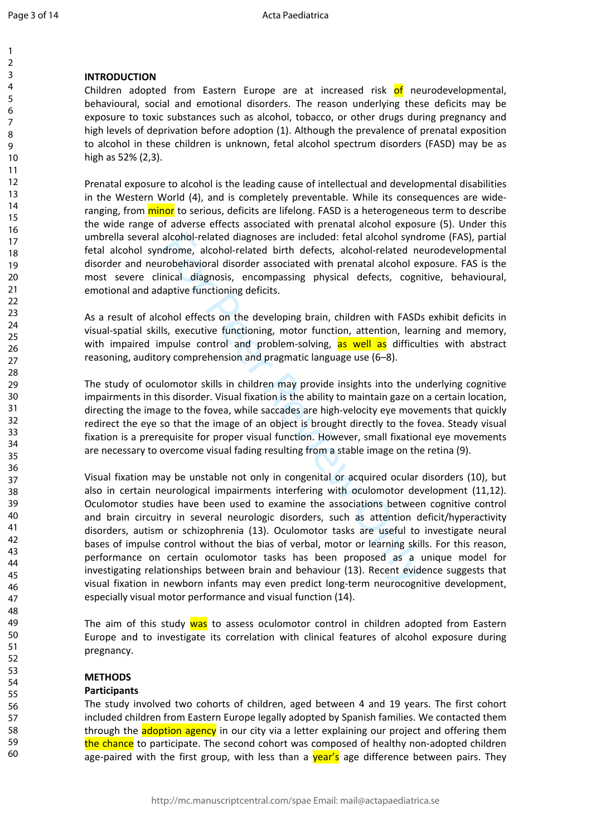$\mathbf{1}$  $\overline{2}$  $\overline{3}$  $\overline{4}$ 5 6  $\overline{7}$ 8  $\mathsf{Q}$ 

#### **INTRODUCTION**

Children adopted from Eastern Europe are at increased risk of neurodevelopmental, behavioural, social and emotional disorders. The reason underlying these deficits may be exposure to toxic substances such as alcohol, tobacco, or other drugs during pregnancy and high levels of deprivation before adoption (1). Although the prevalence of prenatal exposition to alcohol in these children is unknown, fetal alcohol spectrum disorders (FASD) may be as high as 52% (2,3).

Prenatal exposure to alcohol is the leading cause of intellectual and developmental disabilities in the Western World (4), and is completely preventable. While its consequences are wideranging, from *minor* to serious, deficits are lifelong. FASD is a heterogeneous term to describe the wide range of adverse effects associated with prenatal alcohol exposure (5). Under this umbrella several alcohol-related diagnoses are included: fetal alcohol syndrome (FAS), partial fetal alcohol syndrome, alcohol-related birth defects, alcohol-related neurodevelopmental disorder and neurobehavioral disorder associated with prenatal alcohol exposure. FAS is the most severe clinical diagnosis, encompassing physical defects, cognitive, behavioural, emotional and adaptive functioning deficits.

As a result of alcohol effects on the developing brain, children with FASDs exhibit deficits in visual-spatial skills, executive functioning, motor function, attention, learning and memory, with impaired impulse control and problem-solving, as well as difficulties with abstract reasoning, auditory comprehension and pragmatic language use (6–8).

The study of oculomotor skills in children may provide insights into the underlying cognitive impairments in this disorder. Visual fixation is the ability to maintain gaze on a certain location, directing the image to the fovea, while saccades are high-velocity eye movements that quickly redirect the eye so that the image of an object is brought directly to the fovea. Steady visual fixation is a prerequisite for proper visual function. However, small fixational eye movements are necessary to overcome visual fading resulting from a stable image on the retina (9).

alcohol-related diagnoses are included: fetal alcohol syndry<br>arome, alcohol-related birth defects, alcohol-related ne<br>robehavioral disorder associated with prenatal alcohol ex<br>incial diagnosis, encompassing physical defect Visual fixation may be unstable not only in congenital or acquired ocular disorders (10), but also in certain neurological impairments interfering with oculomotor development (11,12). Oculomotor studies have been used to examine the associations between cognitive control and brain circuitry in several neurologic disorders, such as attention deficit/hyperactivity disorders, autism or schizophrenia (13). Oculomotor tasks are useful to investigate neural bases of impulse control without the bias of verbal, motor or learning skills. For this reason, performance on certain oculomotor tasks has been proposed as a unique model for investigating relationships between brain and behaviour (13). Recent evidence suggests that visual fixation in newborn infants may even predict long-term neurocognitive development, especially visual motor performance and visual function (14).

The aim of this study was to assess oculomotor control in children adopted from Eastern Europe and to investigate its correlation with clinical features of alcohol exposure during pregnancy.

#### **METHODS**

#### **Participants**

The study involved two cohorts of children, aged between 4 and 19 years. The first cohort included children from Eastern Europe legally adopted by Spanish families. We contacted them through the **adoption agency** in our city via a letter explaining our project and offering them the chance to participate. The second cohort was composed of healthy non-adopted children age-paired with the first group, with less than a **year's** age difference between pairs. They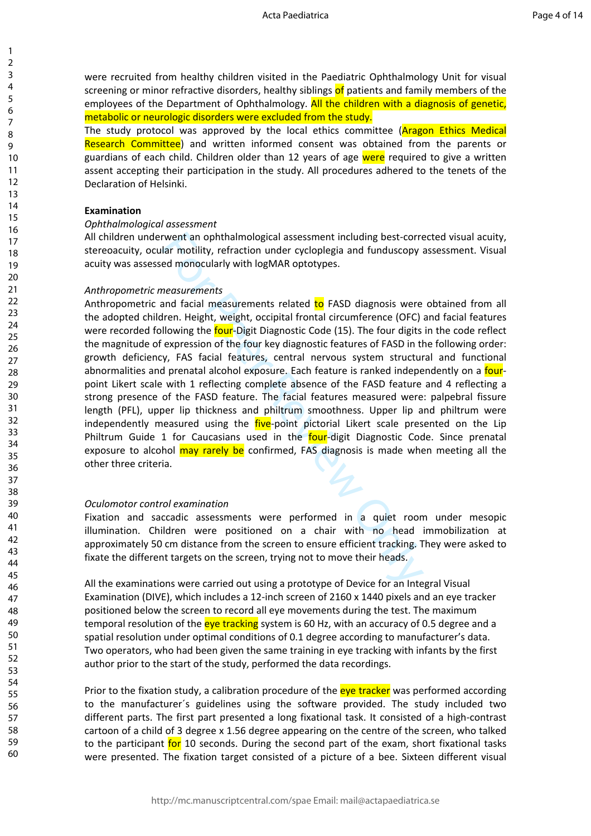were recruited from healthy children visited in the Paediatric Ophthalmology Unit for visual screening or minor refractive disorders, healthy siblings of patients and family members of the employees of the Department of Ophthalmology. All the children with a diagnosis of genetic, metabolic or neurologic disorders were excluded from the study.

The study protocol was approved by the local ethics committee (**Aragon Ethics Medical** Research Committee) and written informed consent was obtained from the parents or guardians of each child. Children older than 12 years of age were required to give a written assent accepting their participation in the study. All procedures adhered to the tenets of the Declaration of Helsinki.

#### **Examination**

#### *Ophthalmological assessment*

All children underwent an ophthalmological assessment including best-corrected visual acuity, stereoacuity, ocular motility, refraction under cycloplegia and funduscopy assessment. Visual acuity was assessed monocularly with logMAR optotypes.

#### *Anthropometric measurements*

rwent an ophthalmological assessment including best-corre<br>lar motility, refraction under cycloplegia and funduscopy a<br>ed monocularly with logMAR optotypes.<br>measurements<br>and facial measurements related to FASD diagnosis wer Anthropometric and facial measurements related to FASD diagnosis were obtained from all the adopted children. Height, weight, occipital frontal circumference (OFC) and facial features were recorded following the four-Digit Diagnostic Code (15). The four digits in the code reflect the magnitude of expression of the four key diagnostic features of FASD in the following order: growth deficiency, FAS facial features, central nervous system structural and functional abnormalities and prenatal alcohol exposure. Each feature is ranked independently on a fourpoint Likert scale with 1 reflecting complete absence of the FASD feature and 4 reflecting a strong presence of the FASD feature. The facial features measured were: palpebral fissure length (PFL), upper lip thickness and philtrum smoothness. Upper lip and philtrum were independently measured using the five-point pictorial Likert scale presented on the Lip Philtrum Guide 1 for Caucasians used in the **four-digit Diagnostic Code. Since prenatal** exposure to alcohol may rarely be confirmed, FAS diagnosis is made when meeting all the other three criteria.

#### *Oculomotor control examination*

Fixation and saccadic assessments were performed in a quiet room under mesopic illumination. Children were positioned on a chair with no head immobilization at approximately 50 cm distance from the screen to ensure efficient tracking. They were asked to fixate the different targets on the screen, trying not to move their heads.

All the examinations were carried out using a prototype of Device for an Integral Visual Examination (DIVE), which includes a 12-inch screen of 2160 x 1440 pixels and an eye tracker positioned below the screen to record all eye movements during the test. The maximum temporal resolution of the eye tracking system is 60 Hz, with an accuracy of 0.5 degree and a spatial resolution under optimal conditions of 0.1 degree according to manufacturer's data. Two operators, who had been given the same training in eye tracking with infants by the first author prior to the start of the study, performed the data recordings.

Prior to the fixation study, a calibration procedure of the eve tracker was performed according to the manufacturer´s guidelines using the software provided. The study included two different parts. The first part presented a long fixational task. It consisted of a high-contrast cartoon of a child of 3 degree x 1.56 degree appearing on the centre of the screen, who talked to the participant for 10 seconds. During the second part of the exam, short fixational tasks were presented. The fixation target consisted of a picture of a bee. Sixteen different visual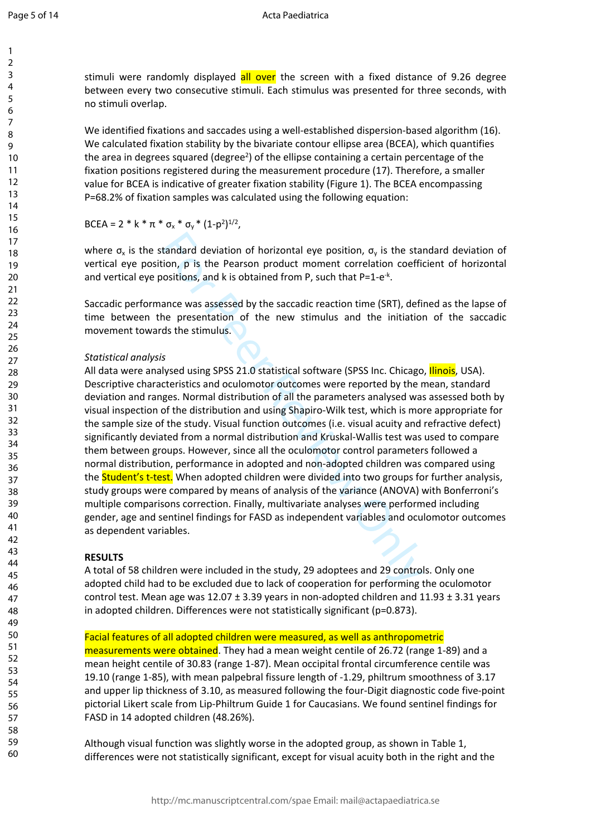Page 5 of 14

123456789

 $\mathbf{1}$  $\overline{2}$  $\overline{3}$  $\overline{4}$ 5 6  $\overline{7}$ 8  $\mathsf{Q}$ 

stimuli were randomly displayed all over the screen with a fixed distance of 9.26 degree between every two consecutive stimuli. Each stimulus was presented for three seconds, with no stimuli overlap.

We identified fixations and saccades using a well-established dispersion-based algorithm (16). We calculated fixation stability by the bivariate contour ellipse area (BCEA), which quantifies the area in degrees squared (degree<sup>2</sup>) of the ellipse containing a certain percentage of the fixation positions registered during the measurement procedure (17). Therefore, a smaller value for BCEA is indicative of greater fixation stability (Figure 1). The BCEA encompassing P=68.2% of fixation samples was calculated using the following equation:

BCEA = 2 \* k \*  $\pi$  \*  $\sigma_x$  \*  $\sigma_y$  \* (1-p<sup>2</sup>)<sup>1/2</sup>,

where  $\sigma_x$  is the standard deviation of horizontal eye position,  $\sigma_y$  is the standard deviation of vertical eye position, p is the Pearson product moment correlation coefficient of horizontal and vertical eye positions, and k is obtained from P, such that  $P=1-e^{-k}$ .

Saccadic performance was assessed by the saccadic reaction time (SRT), defined as the lapse of time between the presentation of the new stimulus and the initiation of the saccadic movement towards the stimulus.

# *Statistical analysis*

tandard deviation of horizontal eye position,  $\sigma_v$  is the station, p is the Pearson product moment correlation coefficions, and k is obtained from P, such that P=1-e<sup>-k</sup>.<br>ance was assessed by the saccadic reaction time ( All data were analysed using SPSS 21.0 statistical software (SPSS Inc. Chicago, *Ilinois*, USA). Descriptive characteristics and oculomotor outcomes were reported by the mean, standard deviation and ranges. Normal distribution of all the parameters analysed was assessed both by visual inspection of the distribution and using Shapiro-Wilk test, which is more appropriate for the sample size of the study. Visual function outcomes (i.e. visual acuity and refractive defect) significantly deviated from a normal distribution and Kruskal-Wallis test was used to compare them between groups. However, since all the oculomotor control parameters followed a normal distribution, performance in adopted and non-adopted children was compared using the **Student's t-test.** When adopted children were divided into two groups for further analysis, study groups were compared by means of analysis of the variance (ANOVA) with Bonferroni's multiple comparisons correction. Finally, multivariate analyses were performed including gender, age and sentinel findings for FASD as independent variables and oculomotor outcomes as dependent variables.

# **RESULTS**

A total of 58 children were included in the study, 29 adoptees and 29 controls. Only one adopted child had to be excluded due to lack of cooperation for performing the oculomotor control test. Mean age was  $12.07 \pm 3.39$  years in non-adopted children and  $11.93 \pm 3.31$  years in adopted children. Differences were not statistically significant (p=0.873).

Facial features of all adopted children were measured, as well as anthropometric measurements were obtained. They had a mean weight centile of 26.72 (range 1-89) and a mean height centile of 30.83 (range 1-87). Mean occipital frontal circumference centile was 19.10 (range 1-85), with mean palpebral fissure length of -1.29, philtrum smoothness of 3.17 and upper lip thickness of 3.10, as measured following the four-Digit diagnostic code five-point pictorial Likert scale from Lip-Philtrum Guide 1 for Caucasians. We found sentinel findings for FASD in 14 adopted children (48.26%).

Although visual function was slightly worse in the adopted group, as shown in Table 1, differences were not statistically significant, except for visual acuity both in the right and the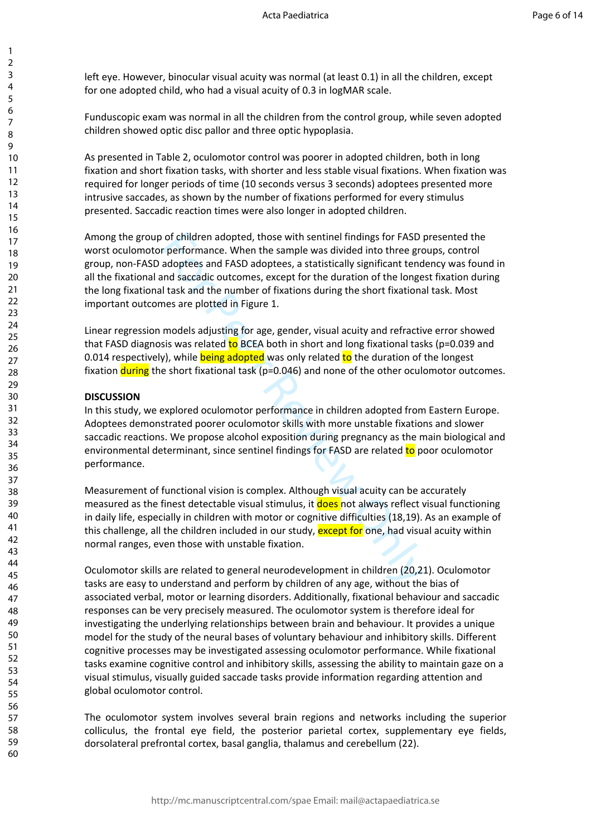left eye. However, binocular visual acuity was normal (at least 0.1) in all the children, except for one adopted child, who had a visual acuity of 0.3 in logMAR scale.

Funduscopic exam was normal in all the children from the control group, while seven adopted children showed optic disc pallor and three optic hypoplasia.

As presented in Table 2, oculomotor control was poorer in adopted children, both in long fixation and short fixation tasks, with shorter and less stable visual fixations. When fixation was required for longer periods of time (10 seconds versus 3 seconds) adoptees presented more intrusive saccades, as shown by the number of fixations performed for every stimulus presented. Saccadic reaction times were also longer in adopted children.

of children adopted, those with sentinel findings for FASD preformance. When the sample was divided into three greadoptees and FASD adoptees, a statistically significant tend<br>and saccadic outcomes, except for the duration Among the group of children adopted, those with sentinel findings for FASD presented the worst oculomotor performance. When the sample was divided into three groups, control group, non-FASD adoptees and FASD adoptees, a statistically significant tendency was found in all the fixational and saccadic outcomes, except for the duration of the longest fixation during the long fixational task and the number of fixations during the short fixational task. Most important outcomes are plotted in Figure 1.

Linear regression models adjusting for age, gender, visual acuity and refractive error showed that FASD diagnosis was related to BCEA both in short and long fixational tasks (p=0.039 and 0.014 respectively), while **being adopted** was only related to the duration of the longest fixation **during** the short fixational task ( $p=0.046$ ) and none of the other oculomotor outcomes.

### **DISCUSSION**

In this study, we explored oculomotor performance in children adopted from Eastern Europe. Adoptees demonstrated poorer oculomotor skills with more unstable fixations and slower saccadic reactions. We propose alcohol exposition during pregnancy as the main biological and environmental determinant, since sentinel findings for FASD are related to poor oculomotor performance.

Measurement of functional vision is complex. Although visual acuity can be accurately measured as the finest detectable visual stimulus, it **does** not always reflect visual functioning in daily life, especially in children with motor or cognitive difficulties (18,19). As an example of this challenge, all the children included in our study, except for one, had visual acuity within normal ranges, even those with unstable fixation.

Oculomotor skills are related to general neurodevelopment in children (20,21). Oculomotor tasks are easy to understand and perform by children of any age, without the bias of associated verbal, motor or learning disorders. Additionally, fixational behaviour and saccadic responses can be very precisely measured. The oculomotor system is therefore ideal for investigating the underlying relationships between brain and behaviour. It provides a unique model for the study of the neural bases of voluntary behaviour and inhibitory skills. Different cognitive processes may be investigated assessing oculomotor performance. While fixational tasks examine cognitive control and inhibitory skills, assessing the ability to maintain gaze on a visual stimulus, visually guided saccade tasks provide information regarding attention and global oculomotor control.

The oculomotor system involves several brain regions and networks including the superior colliculus, the frontal eye field, the posterior parietal cortex, supplementary eye fields, dorsolateral prefrontal cortex, basal ganglia, thalamus and cerebellum (22).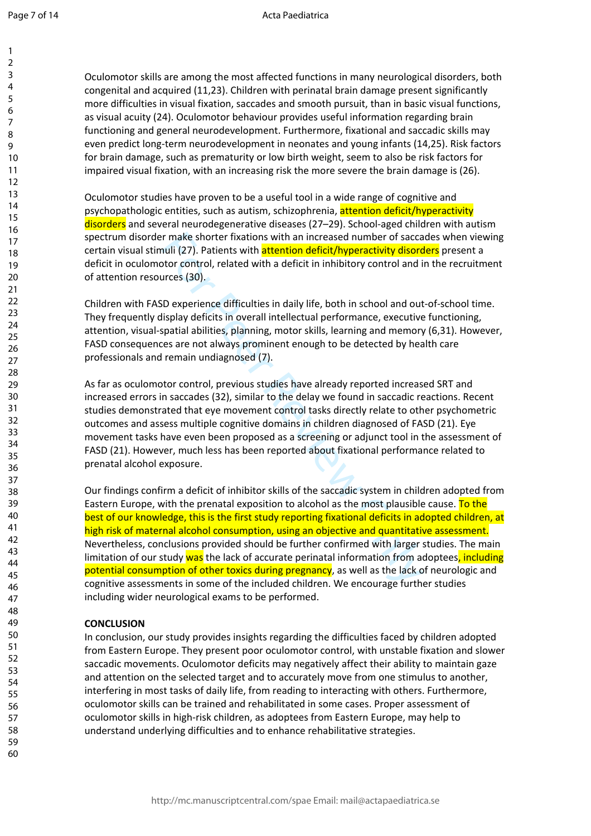$\mathbf{1}$ 

Oculomotor skills are among the most affected functions in many neurological disorders, both congenital and acquired (11,23). Children with perinatal brain damage present significantly more difficulties in visual fixation, saccades and smooth pursuit, than in basic visual functions, as visual acuity (24). Oculomotor behaviour provides useful information regarding brain functioning and general neurodevelopment. Furthermore, fixational and saccadic skills may even predict long-term neurodevelopment in neonates and young infants (14,25). Risk factors for brain damage, such as prematurity or low birth weight, seem to also be risk factors for impaired visual fixation, with an increasing risk the more severe the brain damage is (26).

Oculomotor studies have proven to be a useful tool in a wide range of cognitive and psychopathologic entities, such as autism, schizophrenia, attention deficit/hyperactivity disorders and several neurodegenerative diseases (27–29). School-aged children with autism spectrum disorder make shorter fixations with an increased number of saccades when viewing certain visual stimuli (27). Patients with **attention deficit/hyperactivity disorders** present a deficit in oculomotor control, related with a deficit in inhibitory control and in the recruitment of attention resources (30).

Children with FASD experience difficulties in daily life, both in school and out-of-school time. They frequently display deficits in overall intellectual performance, executive functioning, attention, visual-spatial abilities, planning, motor skills, learning and memory (6,31). However, FASD consequences are not always prominent enough to be detected by health care professionals and remain undiagnosed (7).

As far as oculomotor control, previous studies have already reported increased SRT and increased errors in saccades (32), similar to the delay we found in saccadic reactions. Recent studies demonstrated that eye movement control tasks directly relate to other psychometric outcomes and assess multiple cognitive domains in children diagnosed of FASD (21). Eye movement tasks have even been proposed as a screening or adjunct tool in the assessment of FASD (21). However, much less has been reported about fixational performance related to prenatal alcohol exposure.

r make shorter fixations with an increased number of sacca<br>uli (27). Patients with **attention deficit/hyperactivity disorci**<br>otor control, related with a deficit in inhibitory control and i<br>rress (30).<br>De experience diffic Our findings confirm a deficit of inhibitor skills of the saccadic system in children adopted from Eastern Europe, with the prenatal exposition to alcohol as the most plausible cause. To the best of our knowledge, this is the first study reporting fixational deficits in adopted children, at high risk of maternal alcohol consumption, using an objective and quantitative assessment. Nevertheless, conclusions provided should be further confirmed with larger studies. The main limitation of our study was the lack of accurate perinatal information from adoptees, including potential consumption of other toxics during pregnancy, as well as the lack of neurologic and cognitive assessments in some of the included children. We encourage further studies including wider neurological exams to be performed.

# **CONCLUSION**

In conclusion, our study provides insights regarding the difficulties faced by children adopted from Eastern Europe. They present poor oculomotor control, with unstable fixation and slower saccadic movements. Oculomotor deficits may negatively affect their ability to maintain gaze and attention on the selected target and to accurately move from one stimulus to another, interfering in most tasks of daily life, from reading to interacting with others. Furthermore, oculomotor skills can be trained and rehabilitated in some cases. Proper assessment of oculomotor skills in high-risk children, as adoptees from Eastern Europe, may help to understand underlying difficulties and to enhance rehabilitative strategies.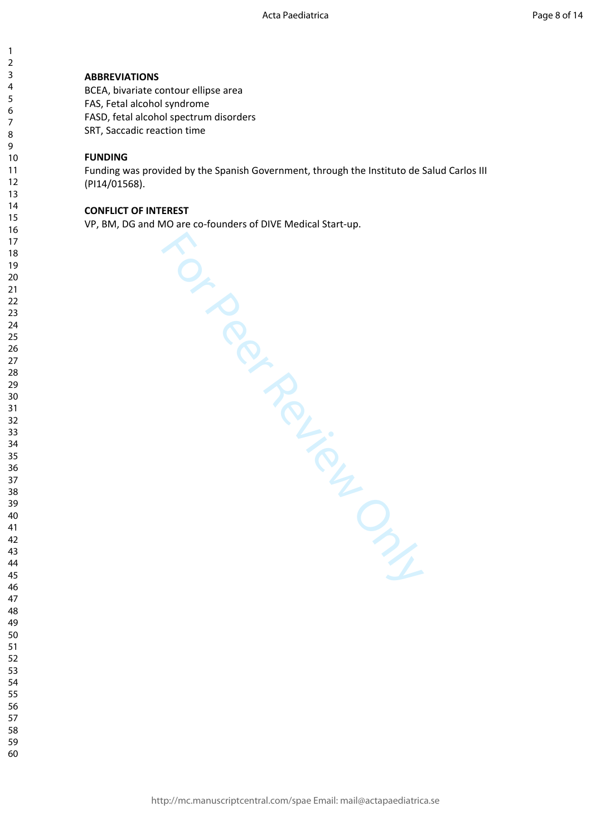### **ABBREVIATIONS**

BCEA, bivariate contour ellipse area FAS, Fetal alcohol syndrome FASD, fetal alcohol spectrum disorders SRT, Saccadic reaction time

# **FUNDING**

 $\mathbf{1}$  $\overline{2}$  $\overline{3}$  $\overline{4}$  $\overline{7}$ 

Funding was provided by the Spanish Government, through the Instituto de Salud Carlos III (PI14/01568).

### **CONFLICT OF INTEREST**

VP, BM, DG and MO are co-founders of DIVE Medical Start-up.

For Per Review Only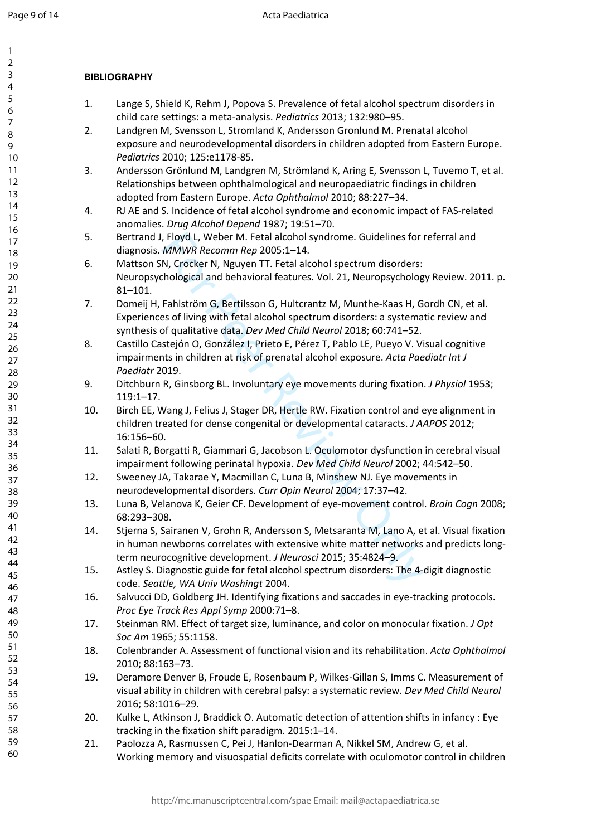$\mathbf{1}$  $\overline{2}$  $\overline{3}$  $\overline{4}$ 5 6  $\overline{7}$ 8  $\mathsf{Q}$ 

# **BIBLIOGRAPHY**

- 1. Lange S, Shield K, Rehm J, Popova S. Prevalence of fetal alcohol spectrum disorders in child care settings: a meta-analysis. *Pediatrics* 2013; 132:980–95.
- 2. Landgren M, Svensson L, Stromland K, Andersson Gronlund M. Prenatal alcohol exposure and neurodevelopmental disorders in children adopted from Eastern Europe. *Pediatrics* 2010; 125:e1178-85.
- 3. Andersson Grönlund M, Landgren M, Strömland K, Aring E, Svensson L, Tuvemo T, et al. Relationships between ophthalmological and neuropaediatric findings in children adopted from Eastern Europe. *Acta Ophthalmol* 2010; 88:227–34.
- 4. RJ AE and S. Incidence of fetal alcohol syndrome and economic impact of FAS-related anomalies. *Drug Alcohol Depend* 1987; 19:51–70.
- 5. Bertrand J, Floyd L, Weber M. Fetal alcohol syndrome. Guidelines for referral and diagnosis. *MMWR Recomm Rep* 2005:1–14.
- , Floyd L, Weber M. Fetal alcohol syndrome. Guidelines for *MMWR Recomm Rep* 2005:1–14.<br>
N, Crocker N, Nguyen TT. Fetal alcohol spectrum disorders:<br>
chological and behavioral features. Vol. 21, Neuropsycholog<br>
Fahlström G, 6. Mattson SN, Crocker N, Nguyen TT. Fetal alcohol spectrum disorders: Neuropsychological and behavioral features. Vol. 21, Neuropsychology Review. 2011. p. 81–101.
- 7. Domeij H, Fahlström G, Bertilsson G, Hultcrantz M, Munthe-Kaas H, Gordh CN, et al. Experiences of living with fetal alcohol spectrum disorders: a systematic review and synthesis of qualitative data. *Dev Med Child Neurol* 2018; 60:741–52.
- 8. Castillo Castejón O, González I, Prieto E, Pérez T, Pablo LE, Pueyo V. Visual cognitive impairments in children at risk of prenatal alcohol exposure. *Acta Paediatr Int J Paediatr* 2019.
- 9. Ditchburn R, Ginsborg BL. Involuntary eye movements during fixation. *J Physiol* 1953; 119:1–17.
- 10. Birch EE, Wang J, Felius J, Stager DR, Hertle RW. Fixation control and eye alignment in children treated for dense congenital or developmental cataracts. *J AAPOS* 2012; 16:156–60.
- 11. Salati R, Borgatti R, Giammari G, Jacobson L. Oculomotor dysfunction in cerebral visual impairment following perinatal hypoxia. *Dev Med Child Neurol* 2002; 44:542–50.
- 12. Sweeney JA, Takarae Y, Macmillan C, Luna B, Minshew NJ. Eye movements in neurodevelopmental disorders. *Curr Opin Neurol* 2004; 17:37–42.
- 13. Luna B, Velanova K, Geier CF. Development of eye-movement control. *Brain Cogn* 2008; 68:293–308.
- 14. Stjerna S, Sairanen V, Grohn R, Andersson S, Metsaranta M, Lano A, et al. Visual fixation in human newborns correlates with extensive white matter networks and predicts longterm neurocognitive development. *J Neurosci* 2015; 35:4824–9.
- 15. Astley S. Diagnostic guide for fetal alcohol spectrum disorders: The 4-digit diagnostic code. *Seattle, WA Univ Washingt* 2004.
- 16. Salvucci DD, Goldberg JH. Identifying fixations and saccades in eye-tracking protocols. *Proc Eye Track Res Appl Symp* 2000:71–8.
- 17. Steinman RM. Effect of target size, luminance, and color on monocular fixation. *J Opt Soc Am* 1965; 55:1158.
- 18. Colenbrander A. Assessment of functional vision and its rehabilitation. *Acta Ophthalmol* 2010; 88:163–73.
- 19. Deramore Denver B, Froude E, Rosenbaum P, Wilkes-Gillan S, Imms C. Measurement of visual ability in children with cerebral palsy: a systematic review. *Dev Med Child Neurol* 2016; 58:1016–29.
- 20. Kulke L, Atkinson J, Braddick O. Automatic detection of attention shifts in infancy : Eye tracking in the fixation shift paradigm. 2015:1–14.
- 21. Paolozza A, Rasmussen C, Pei J, Hanlon-Dearman A, Nikkel SM, Andrew G, et al. Working memory and visuospatial deficits correlate with oculomotor control in children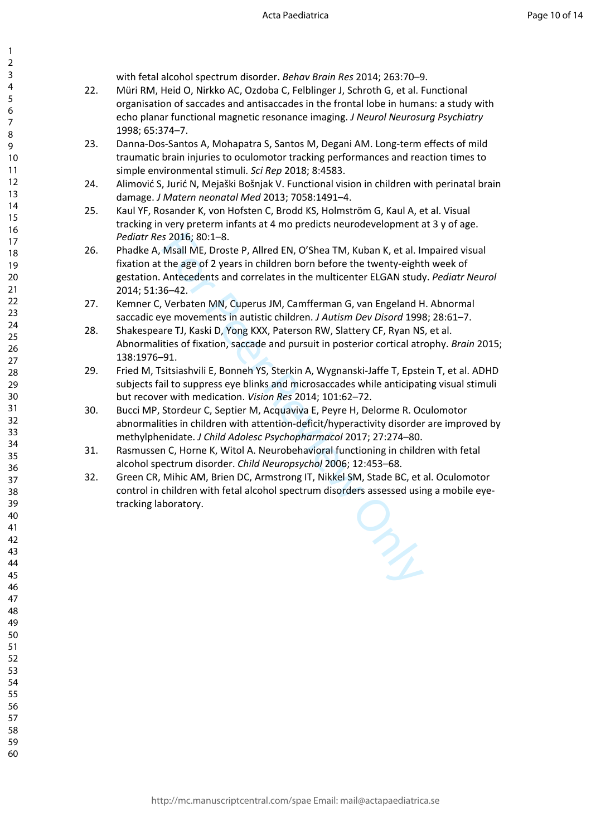with fetal alcohol spectrum disorder. *Behav Brain Res* 2014; 263:70–9.

123456789

 $\mathbf{1}$  $\overline{2}$  $\overline{3}$  $\overline{4}$ 5 6  $\overline{7}$ 8 9

- 22. Müri RM, Heid O, Nirkko AC, Ozdoba C, Felblinger J, Schroth G, et al. Functional organisation of saccades and antisaccades in the frontal lobe in humans: a study with echo planar functional magnetic resonance imaging. *J Neurol Neurosurg Psychiatry* 1998; 65:374–7.
- 23. Danna-Dos-Santos A, Mohapatra S, Santos M, Degani AM. Long-term effects of mild traumatic brain injuries to oculomotor tracking performances and reaction times to simple environmental stimuli. *Sci Rep* 2018; 8:4583.
- 24. Alimović S, Jurić N, Mejaški Bošnjak V. Functional vision in children with perinatal brain damage. *J Matern neonatal Med* 2013; 7058:1491–4.
- 25. Kaul YF, Rosander K, von Hofsten C, Brodd KS, Holmström G, Kaul A, et al. Visual tracking in very preterm infants at 4 mo predicts neurodevelopment at 3 y of age. *Pediatr Res* 2016; 80:1–8.
- s 2016; 80:1–8.<br>
Msall ME, Droste P, Allred EN, O'Shea TM, Kuban K, et al. In<br>
Msall ME, Droste P, Allred EN, O'Shea TM, Kuban K, et al. In<br>
Antecedents and correlates in the multicenter ELGAN study<br>
Antecedents and correl 26. Phadke A, Msall ME, Droste P, Allred EN, O'Shea TM, Kuban K, et al. Impaired visual fixation at the age of 2 years in children born before the twenty-eighth week of gestation. Antecedents and correlates in the multicenter ELGAN study. *Pediatr Neurol* 2014; 51:36–42.
- 27. Kemner C, Verbaten MN, Cuperus JM, Camfferman G, van Engeland H. Abnormal saccadic eye movements in autistic children. *J Autism Dev Disord* 1998; 28:61–7.
- 28. Shakespeare TJ, Kaski D, Yong KXX, Paterson RW, Slattery CF, Ryan NS, et al. Abnormalities of fixation, saccade and pursuit in posterior cortical atrophy. *Brain* 2015; 138:1976–91.
- 29. Fried M, Tsitsiashvili E, Bonneh YS, Sterkin A, Wygnanski-Jaffe T, Epstein T, et al. ADHD subjects fail to suppress eye blinks and microsaccades while anticipating visual stimuli but recover with medication. *Vision Res* 2014; 101:62–72.
- 30. Bucci MP, Stordeur C, Septier M, Acquaviva E, Peyre H, Delorme R. Oculomotor abnormalities in children with attention-deficit/hyperactivity disorder are improved by methylphenidate. *J Child Adolesc Psychopharmacol* 2017; 27:274–80.
- 31. Rasmussen C, Horne K, Witol A. Neurobehavioral functioning in children with fetal alcohol spectrum disorder. *Child Neuropsychol* 2006; 12:453–68.
- 32. Green CR, Mihic AM, Brien DC, Armstrong IT, Nikkel SM, Stade BC, et al. Oculomotor control in children with fetal alcohol spectrum disorders assessed using a mobile eyetracking laboratory.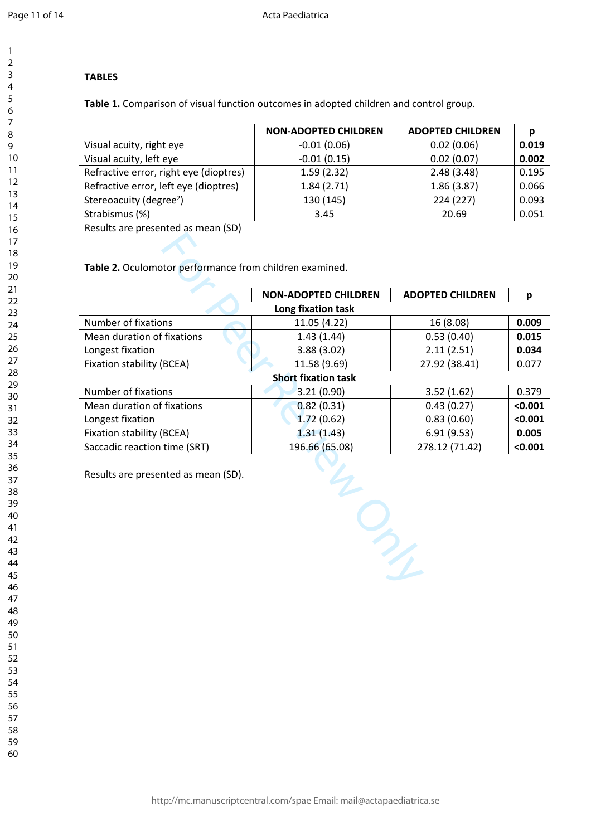$\mathbf{1}$  $\overline{2}$  $\overline{3}$  $\overline{4}$  $\overline{7}$ 

# **TABLES**

**Table 1.** Comparison of visual function outcomes in adopted children and control group.

|                                        | <b>NON-ADOPTED CHILDREN</b> | <b>ADOPTED CHILDREN</b> |       |
|----------------------------------------|-----------------------------|-------------------------|-------|
| Visual acuity, right eye               | $-0.01(0.06)$               | 0.02(0.06)              | 0.019 |
| Visual acuity, left eye                | $-0.01(0.15)$               | 0.02(0.07)              | 0.002 |
| Refractive error, right eye (dioptres) | 1.59(2.32)                  | 2.48(3.48)              | 0.195 |
| Refractive error, left eye (dioptres)  | 1.84(2.71)                  | 1.86(3.87)              | 0.066 |
| Stereoacuity (degree <sup>2</sup> )    | 130 (145)                   | 224 (227)               | 0.093 |
| Strabismus (%)                         | 3.45                        | 20.69                   | 0.051 |

Results are presented as mean (SD)

|                                     | <b>NON-ADOPTED CHILDREN</b> | <b>ADOPTED CHILDREN</b> | р       |
|-------------------------------------|-----------------------------|-------------------------|---------|
|                                     | Long fixation task          |                         |         |
| Number of fixations                 | 11.05 (4.22)                | 16 (8.08)               | 0.009   |
| Mean duration of fixations          | 1.43(1.44)                  | 0.53(0.40)              | 0.015   |
| Longest fixation                    | 3.88(3.02)                  | 2.11(2.51)              | 0.034   |
| <b>Fixation stability (BCEA)</b>    | 11.58 (9.69)                | 27.92 (38.41)           | 0.077   |
|                                     | <b>Short fixation task</b>  |                         |         |
| Number of fixations                 | 3.21(0.90)                  | 3.52(1.62)              | 0.379   |
| Mean duration of fixations          | 0.82(0.31)                  | 0.43(0.27)              | < 0.001 |
| Longest fixation                    | 1.72(0.62)                  | 0.83(0.60)              | < 0.001 |
| Fixation stability (BCEA)           | 1.31(1.43)                  | 6.91(9.53)              | 0.005   |
| Saccadic reaction time (SRT)        | 196.66 (65.08)              | 278.12 (71.42)          | < 0.001 |
| Results are presented as mean (SD). |                             |                         |         |
|                                     |                             |                         |         |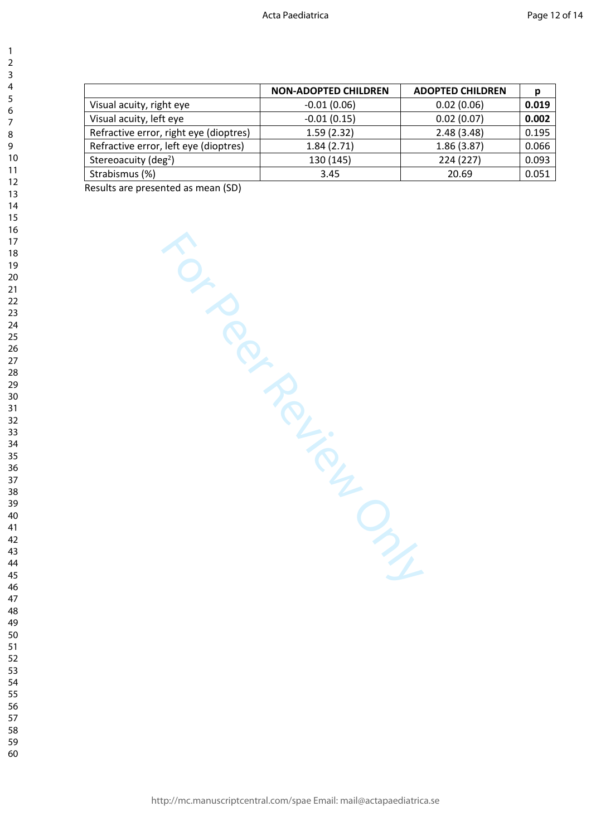|                                        | <b>NON-ADOPTED CHILDREN</b> | <b>ADOPTED CHILDREN</b> | р     |
|----------------------------------------|-----------------------------|-------------------------|-------|
| Visual acuity, right eye               | $-0.01(0.06)$               | 0.02(0.06)              | 0.019 |
| Visual acuity, left eye                | $-0.01(0.15)$               | 0.02(0.07)              | 0.002 |
| Refractive error, right eye (dioptres) | 1.59(2.32)                  | 2.48(3.48)              | 0.195 |
| Refractive error, left eye (dioptres)  | 1.84(2.71)                  | 1.86(3.87)              | 0.066 |
| Stereoacuity (deg <sup>2</sup> )       | 130 (145)                   | 224 (227)               | 0.093 |
| Strabismus (%)                         | 3.45                        | 20.69                   | 0.051 |

Results are presented as mean (SD)

For Per Review Only

 $\mathbf{1}$  $\overline{2}$  $\overline{3}$  $\overline{4}$  $\overline{7}$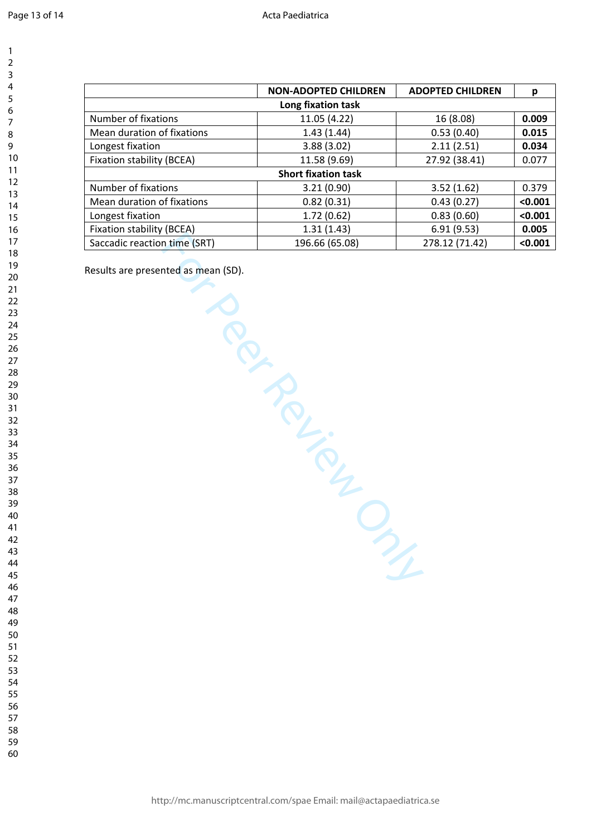|                              | <b>NON-ADOPTED CHILDREN</b> | <b>ADOPTED CHILDREN</b> | p       |
|------------------------------|-----------------------------|-------------------------|---------|
| Long fixation task           |                             |                         |         |
| Number of fixations          | 11.05 (4.22)                | 16 (8.08)               | 0.009   |
| Mean duration of fixations   | 1.43(1.44)                  | 0.53(0.40)              | 0.015   |
| Longest fixation             | 3.88(3.02)                  | 2.11(2.51)              | 0.034   |
| Fixation stability (BCEA)    | 11.58 (9.69)                | 27.92 (38.41)           | 0.077   |
| <b>Short fixation task</b>   |                             |                         |         |
| Number of fixations          | 3.21(0.90)                  | 3.52(1.62)              | 0.379   |
| Mean duration of fixations   | 0.82(0.31)                  | 0.43(0.27)              | < 0.001 |
| Longest fixation             | 1.72(0.62)                  | 0.83(0.60)              | < 0.001 |
| Fixation stability (BCEA)    | 1.31(1.43)                  | 6.91(9.53)              | 0.005   |
| Saccadic reaction time (SRT) | 196.66 (65.08)              | 278.12 (71.42)          | < 0.001 |

TROUTED STATES

Results are presented as mean (SD).